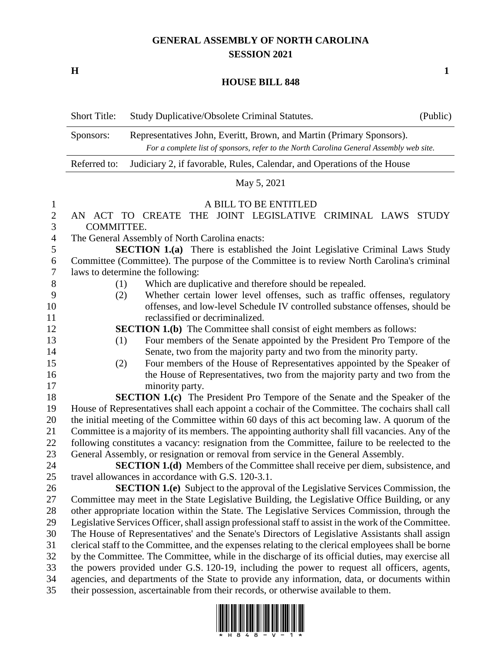# **GENERAL ASSEMBLY OF NORTH CAROLINA SESSION 2021**

**H 1**

### **HOUSE BILL 848**

| <b>Short Title:</b> | Study Duplicative/Obsolete Criminal Statutes.                                                                                                                   | (Public) |
|---------------------|-----------------------------------------------------------------------------------------------------------------------------------------------------------------|----------|
| Sponsors:           | Representatives John, Everitt, Brown, and Martin (Primary Sponsors).<br>For a complete list of sponsors, refer to the North Carolina General Assembly web site. |          |
| Referred to:        | Judiciary 2, if favorable, Rules, Calendar, and Operations of the House                                                                                         |          |

## May 5, 2021

#### A BILL TO BE ENTITLED

 AN ACT TO CREATE THE JOINT LEGISLATIVE CRIMINAL LAWS STUDY COMMITTEE.

The General Assembly of North Carolina enacts:

 **SECTION 1.(a)** There is established the Joint Legislative Criminal Laws Study Committee (Committee). The purpose of the Committee is to review North Carolina's criminal laws to determine the following:

- (1) Which are duplicative and therefore should be repealed.
- (2) Whether certain lower level offenses, such as traffic offenses, regulatory offenses, and low-level Schedule IV controlled substance offenses, should be reclassified or decriminalized.

**SECTION 1.(b)** The Committee shall consist of eight members as follows:

- (1) Four members of the Senate appointed by the President Pro Tempore of the Senate, two from the majority party and two from the minority party.
- (2) Four members of the House of Representatives appointed by the Speaker of the House of Representatives, two from the majority party and two from the minority party.

 **SECTION 1.(c)** The President Pro Tempore of the Senate and the Speaker of the House of Representatives shall each appoint a cochair of the Committee. The cochairs shall call the initial meeting of the Committee within 60 days of this act becoming law. A quorum of the Committee is a majority of its members. The appointing authority shall fill vacancies. Any of the following constitutes a vacancy: resignation from the Committee, failure to be reelected to the General Assembly, or resignation or removal from service in the General Assembly.

 **SECTION 1.(d)** Members of the Committee shall receive per diem, subsistence, and travel allowances in accordance with G.S. 120-3.1.

 **SECTION 1.(e)** Subject to the approval of the Legislative Services Commission, the Committee may meet in the State Legislative Building, the Legislative Office Building, or any other appropriate location within the State. The Legislative Services Commission, through the Legislative Services Officer, shall assign professional staff to assist in the work of the Committee. The House of Representatives' and the Senate's Directors of Legislative Assistants shall assign clerical staff to the Committee, and the expenses relating to the clerical employees shall be borne by the Committee. The Committee, while in the discharge of its official duties, may exercise all the powers provided under G.S. 120-19, including the power to request all officers, agents, agencies, and departments of the State to provide any information, data, or documents within their possession, ascertainable from their records, or otherwise available to them.